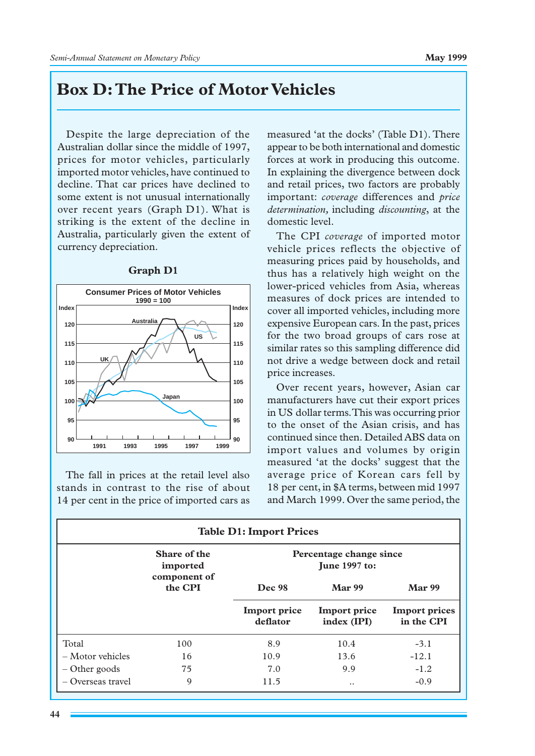## **Box␣ D: The Price of Motor Vehicles**

Despite the large depreciation of the Australian dollar since the middle of 1997, prices for motor vehicles, particularly imported motor vehicles, have continued to decline. That car prices have declined to some extent is not unusual internationally over recent years (Graph  $D1$ ). What is striking is the extent of the decline in Australia, particularly given the extent of currency depreciation.



## **Graph D1**

The fall in prices at the retail level also stands in contrast to the rise of about 14 per cent in the price of imported cars as measured 'at the docks' (Table D1). There appear to be both international and domestic forces at work in producing this outcome. In explaining the divergence between dock and retail prices, two factors are probably important: *coverage* differences and *price determination,* including *discounting*, at the domestic level.

The CPI *coverage* of imported motor vehicle prices reflects the objective of measuring prices paid by households, and thus has a relatively high weight on the lower-priced vehicles from Asia, whereas measures of dock prices are intended to cover all imported vehicles, including more expensive European cars. In the past, prices for the two broad groups of cars rose at similar rates so this sampling difference did not drive a wedge between dock and retail price increases.

Over recent years, however, Asian car manufacturers have cut their export prices in US␣ dollar terms. This was occurring prior to the onset of the Asian crisis, and has continued since then. Detailed ABS data on import values and volumes by origin measured 'at the docks' suggest that the average price of Korean cars fell by 18 per cent, in \$A terms, between mid 1997 and March 1999. Over the same period, the

| <b>Table D1: Import Prices</b> |                                                     |                                                 |                                    |                                    |
|--------------------------------|-----------------------------------------------------|-------------------------------------------------|------------------------------------|------------------------------------|
|                                | Share of the<br>imported<br>component of<br>the CPI | Percentage change since<br><b>June 1997 to:</b> |                                    |                                    |
|                                |                                                     | Dec 98                                          | <b>Mar 99</b>                      | <b>Mar 99</b>                      |
|                                |                                                     | <b>Import price</b><br>deflator                 | <b>Import price</b><br>index (IPI) | <b>Import prices</b><br>in the CPI |
| Total                          | 100                                                 | 8.9                                             | 10.4                               | $-3.1$                             |
| $-Motor$ vehicles              | 16                                                  | 10.9                                            | 13.6                               | $-12.1$                            |
| $-$ Other goods                | 75                                                  | 7.0                                             | 9.9                                | $-1.2$                             |
| $-$ Overseas travel            | 9                                                   | 11.5                                            | $\ddotsc$                          | $-0.9$                             |